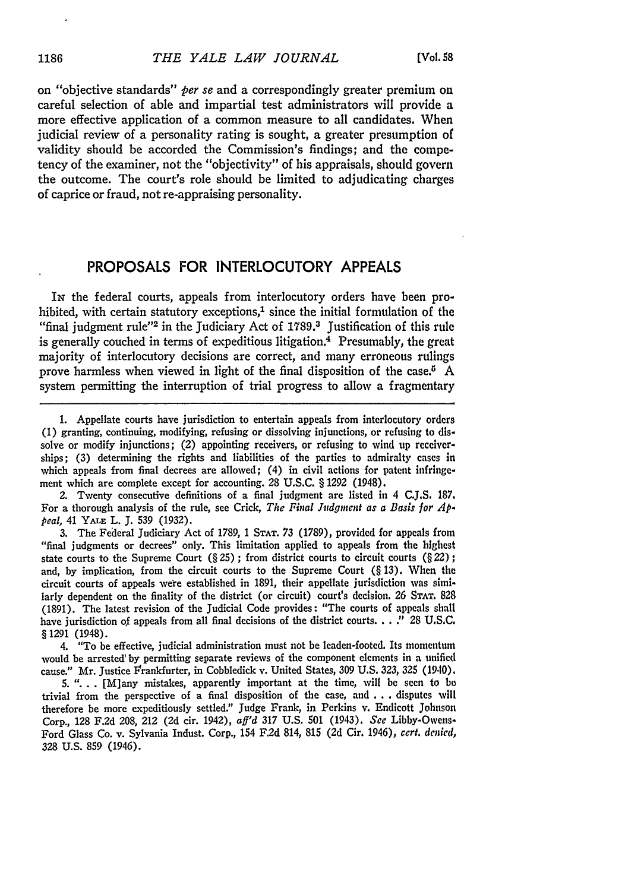on "objective standards" *per se* and a correspondingly greater premium on careful selection of able and impartial test administrators will provide a more effective application of a common measure to all candidates. When judicial review of a personality rating is sought, a greater presumption of validity should be accorded the Commission's findings; and the competency of the examiner, not the "objectivity" of his appraisals, should govern the outcome. The court's role should be limited to adjudicating charges of caprice or fraud, not re-appraising personality.

## PROPOSALS FOR INTERLOCUTORY **APPEALS**

IN the federal courts, appeals from interlocutory orders have been prohibited, with certain statutory exceptions, $<sup>1</sup>$  since the initial formulation of the</sup> "final judgment rule"<sup>2</sup> in the Judiciary Act of 1789.<sup>3</sup> Justification of this rule is generally couched in terms of expeditious litigation.4 Presumably, the great majority of interlocutory decisions are correct, and many erroneous rulings prove harmless when viewed in light of the final disposition of the case.<sup> $5$ </sup> A system permitting the interruption of trial progress to allow a fragmentary

2. Twenty consecutive definitions of a final judgment are listed in 4 **C.J.S.** 187. For a thorough analysis of the rule, see Crick, *The Final Judgment as a Basis for Appeal,* 41 **YALE** L. J. 539 (1932).

3. The Federal Judiciary Act of 1789, 1 **STAT.** 73 (1789), provided for appeals from "final judgments or decrees" only. This limitation applied to appeals from the highest state courts to the Supreme Court (§ 25) **;** from district courts to circuit courts (§ 22) **;** and, by implication, from the circuit courts to the Supreme Court  $(\S 13)$ . When the circuit courts of appeals were established in 1891, their appellate jurisdiction was similarly dependent on the finality of the district (or circuit) court's decision. **26 STAT.** 828 (1891). The latest revision of the Judicial Code provides: "The courts of appeals shall have jurisdiction of appeals from all final decisions of the district courts **... ."** 28 U.S.C. § 1291 (1948).

4. "To be effective, judicial administration must not be leaden-footed. Its momentum would be arrested' by permitting separate reviews of the component elements in a unified cause." Mr. Justice Frankfurter, in Cobbledick v. United States, **309** U.S. **323,** *325* (1940).

5. "... [M]any mistakes, apparently important at the time, will be seen to **be** trivial from the perspective of a final disposition of the case, and **...** disputes will therefore be more expeditiously settled." Judge Frank, in Perkins v. Endicott Johnson Corp., 128 F.2d 208, 212 (2d cir. 1942), *aff'd* 317 U.S. **501** (1943). *See* Libby-Owens-Ford Glass Co. v. Sylvania Indust. Corp., 154 F.2d 814, 815 (2d Cir. 1946), *cert. denied,* 328 U.S. **859** (1946).

<sup>1.</sup> Appellate courts have jurisdiction to entertain appeals from interlocutory orders (1) granting, continuing, modifying, refusing or dissolving injunctions, or refusing to dissolve or modify injunctions; (2) appointing receivers, or refusing to wind up receiverships; (3) determining the rights and liabilities of the parties to admiralty cases in which appeals from final decrees are allowed; (4) in civil actions for patent infringement which are complete except for accounting. 28 U.S.C. § 1292 (1948).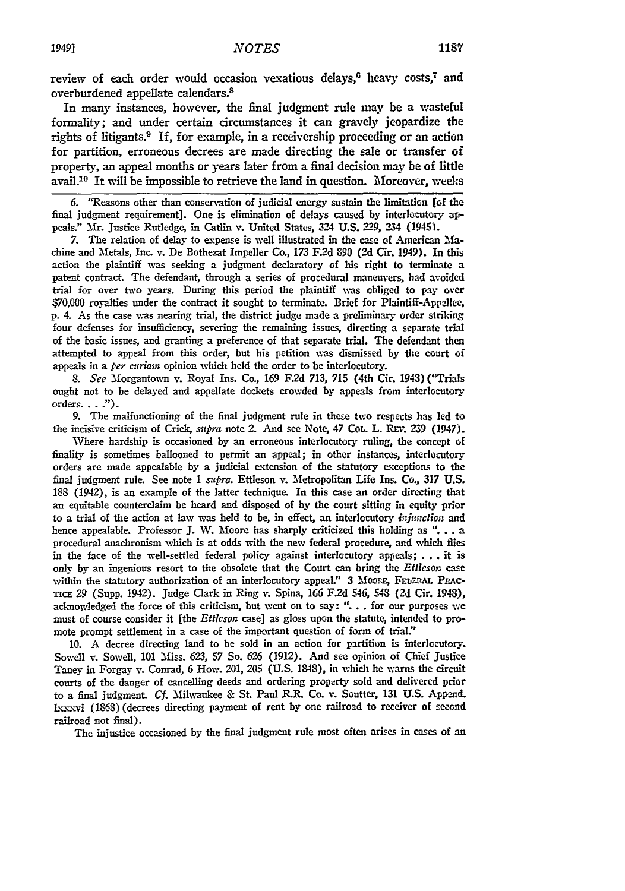review of each order would occasion vexatious delays, $6$  heavy costs, $7$  and overburdened appellate calendars.<sup>8</sup>

In many instances, however, the final judgment rule may be a wasteful formality; and under certain circumstances it can gravely jeopardize the rights of litigants.9 If, for example, in a receivership proceeding or an action for partition, erroneous decrees are made directing the sale or transfer of property, an appeal months or years later from a final decision may be of little avail.<sup>10</sup> It will be impossible to retrieve the land in question. Moreover, weeks

**6.** "Reasons other than conservation of judicial energy sustain the limitation **[of** the final judgment requirement]. One is elimination of delays caused by interlocutory appeals." Mr. Justice Rutledge, in Catlin **%.** United States, 324 **U.S. 229,** 234 (1945).

7. The relation of delay to expense is well illustrated in the case of American Machine and Metals, Inc. v. De Bothezat Impeller Co., 173 F.2d 890 (2d Cir. 1949). In this action the plaintiff was seeking a judgment declaratory of his right to terminate a patent contract. The defendant, through a series of procedural maneuvers, had avoided trial for over two years. During this period the plaintiff was obliged to pay over **\$70,G0** royalties under the contract it sought to terminate. Brief for Plaintiff-Appcllee, p. 4. As the case was nearing trial, the district judge made a preliminary order striking four defenses for insufficiency, severing the remaining issues, directing a separate trial of the basic issues, and granting a preference of that separate trial. The defendant then attempted to appeal from this order, but his petition was dismissed by the court of appeals in a *per curiam* opinion which held the order to be interlocutory.

8. See Morgantown **v. Royal Ins. Co., 169 F.2d 713, 715 (4th Cir. 1943) ("Trials** ought not to be delayed and appellate dockets crowded by appeals from interlocutory orders. **.. ").**

**9.** The malfunctioning of the final judgment rule in these two respects has led to the incisive criticism of Crick, *supra* note 2. And see Note, 47 CoL. L. REV. 239 (1947).

Where hardship is occasioned **by** an erroneous interlocutory ruling, the concept of finality is sometimes ballooned to permit an appeal; in other instances, interlocutory orders are made appealable by a judicial extension of the statutory exceptions to the final judgment rule. See note 1 *supra.* Ettleson v. Metropolitan Life Ins. Co., **317** U.S. **188** (1942), is an example of the latter technique. In this case an order directing that an equitable counterclaim be heard and disposed of **by** the court sitting in equity prior to a trial of the action at law was held to **be,** in effect, an interlocutory *injunction* and hence appealable. Professor **J.** W. Moore has sharply criticized this holding as **"...** . a procedural anachronism which is at odds with the new federal procedure, and which flies in the face of the well-settled federal policy against interlocutory appeals; **... it is** only by an ingenious resort to the obsolete that the Court can bring the *Eftleson* case within the statutory authorization of an interlocutory appeal." 3 MOORE, FEDERAL PRACrica 29 (Supp. 1942). Judge Clark in Ring v. Spina, 166 F.2d 546, 54 **(2d** Cir. 1943), acknowledged the force of this criticism, but went on to say: **"..** . for our purposes we must of course consider it [the *Ettleson* case] as gloss upon the statute, intended to promote prompt settlement in a case of the important question of form of trial.'

10. A decree directing land to be sold in an action for partition is interlocutory. Sowell v. Sowell, **101** Miss. *623,* 57 So. 626 (1912). And see opinion of Chief Justice Taney in Forgay v. Conrad, 6 How. 201, **205** (U.S. 1843), in which he warns the circuit courts of the danger of cancelling deeds and ordering property sold and delivered prior to a final judgment. Cf. Milwaukee & St. Paul R.R. Co. v. Soutter, 131 U.S. Append. hxxxvi (1868) (decrees directing payment of rent by one railroad to receiver of second railroad not final).

The injustice occasioned by the final judgment rule most often arises in cases of an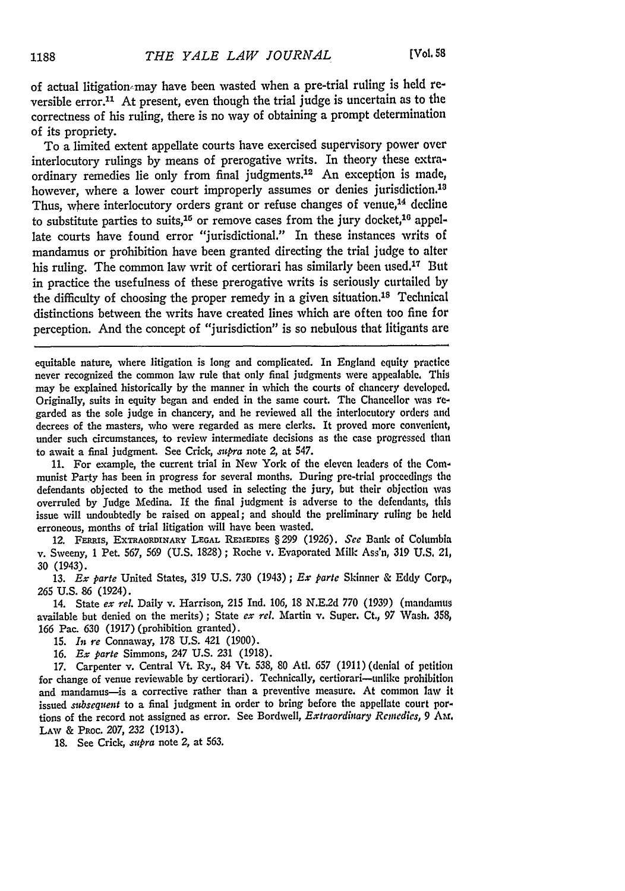of actual litigation may have been wasted when a pre-trial ruling is held reversible error.<sup>11</sup> At present, even though the trial judge is uncertain as to the correctness of his ruling, there is no way of obtaining a prompt determination of its propriety.

To a limited extent appellate courts have exercised supervisory power over interlocutory rulings by means of prerogative writs. In theory these extraordinary remedies lie only from final judgments.12 An exception is made, however, where a lower court improperly assumes or denies jurisdiction.<sup>13</sup> Thus, where interlocutory orders grant or refuse changes of venue,<sup>14</sup> decline to substitute parties to suits,<sup>15</sup> or remove cases from the jury docket,<sup>16</sup> appellate courts have found error "jurisdictional." In these instances writs of mandamus or prohibition have been granted directing the trial judge to alter his ruling. The common law writ of certiorari has similarly been used.<sup>17</sup> But in practice the usefulness of these prerogative writs is seriously curtailed by the difficulty of choosing the proper remedy in a given situation.<sup>18</sup> Technical distinctions between the writs have created lines which are often too fine for perception. And the concept of "jurisdiction" is so nebulous that litigants are

equitable nature, where litigation is long and complicated. In England equity practice never recognized the common law rule that only final judgments were appealable, This may be explained historically **by** the manner in which the courts of chancery developed. Originally, suits in equity began and ended in the same court. The Chancellor was regarded as the sole judge in chancery, and he reviewed all the interlocutory orders and decrees of the masters, who were regarded as mere clerks. It proved more convenient, under such circumstances, to review intermediate decisions as the case progressed than to await a final judgment. See Crick, *sstpra* note 2, at 547.

**11.** For example, the current trial in New York of the eleven leaders of the Communist Party has been in progress for several months. During pre-trial proceedings the defendants objected to the method used in selecting the jury, but their objection was overruled by Judge Medina. If the final judgment is adverse to the defendants, this issue will undoubtedly **be** raised on appeal; and should the preliminary ruling **be held** erroneous, months of trial litigation will have been wasted.

12. FERis, EXTRAORDINARY **LEGAL REMEDIES** § **299** (1926). *See* Bank of Columbia v. Sweeny, 1 Pet. 567, 569 (U.S. 1828); Roche v. Evaporated Milk Ass'n, 319 U.S. 21, **30** (1943).

**13.** *Ex parte* United States, **319 U.S. 730** (1943) *; Ex parte* Skinner & Eddy Corp., **265** U.S. 86 (1924).

14. State *ex rel.* Daily v. Harrison, **215** Ind. 106, 18 N.E.2d **770** (1939) (mandamus available but denied on the merits) ; State *ex rel.* Martin v. Super. Ct., **97** Wash. **358,** 166 Pac. 630 (1917) (prohibition granted).

15. *In re* Connaway, **178** U.S. 421 (1900).

16. *Ex parte* Simmons, 247 U.S. **231** (1918).

17. Carpenter v. Central Vt. Ry., 84 Vt. 538, 80 Atl. 657 (1911) (denial of petition for change of venue reviewable **by** certiorari). Technically, certiorari-unlike prohibition and mandamus-is a corrective rather than a preventive measure. At common law it issued *subsequent* to a final judgment in order to bring before the appellate court portions of the record not assigned as error. See Bordwell, *Extraordinary Remcedies, 9* **Am. LAw** & **PRoc.** *207,* **232 (1913).**

**18.** See Crick, *supra* note 2, at **563.**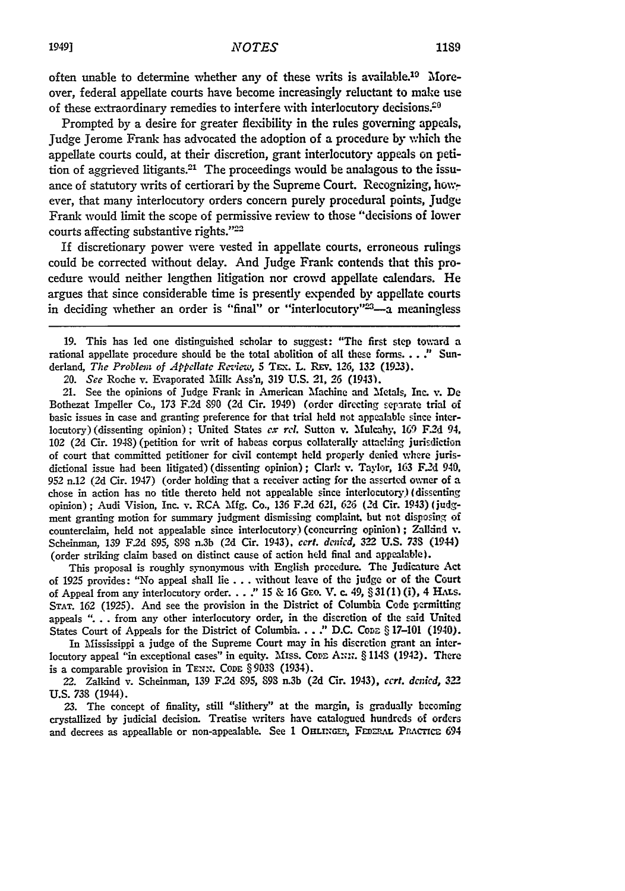often unable to determine whether any of these writs is available.<sup>19</sup> Moreover, federal appellate courts have become increasingly reluctant to make use of these extraordinary remedies to interfere with interlocutory decisions. $29$ 

Prompted **by** a desire for greater flexibility in the rules governing appeals, Judge Jerome Frank has advocated the adoption of a procedure by which the appellate courts could, at their discretion, grant interlocutory appeals on petition of aggrieved litigants.<sup>21</sup> The proceedings would be analagous to the issuance of statutory writs of certiorari by the Supreme Court. Recognizing, *how.* ever, that many interlocutory orders concern purely procedural points, Judge Frank would limit the scope of permissive review to those "decisions of lower courts affecting substantive rights."22

If discretionary power were vested in appellate courts, erroneous rulings could be corrected without delay. And Judge Frank contends that this procedure would neither lengthen litigation nor crowd appellate calendars. He argues that since considerable time is presently expended by appellate courts in deciding whether an order is "final" or "interlocutory"<sup>23</sup>-a meaningless

**19.** This has led one distinguished scholar to suggest: "The first step toward a rational appellate procedure should be the total abolition of **all** these forms...." Sunderland, *The Problem of Appellate Review*, 5 TEx. L. REv. 126, 132 (1923).

*20. See* Roche v. Evaporated Milk Ass'n, **319 U.S.** 21, 26 (1943).

21. See the opinions of Judge Frank in American Machine and Metals, Inc. v. **De** Bothezat Impeller Co., **173 F.2d** 890 **(2d** Cir. 1949) (order directing sepirate trial **of** basic issues in case and granting preference for that trial held not appealable since interlocutory) (dissenting opinion); United States *cX rcl.* Sutton v. Mulcahy, **169** F.2d 94, 102 **(2d** Cir. 1948) (petition for writ of habeas corpus collaterally attaching jurisdiction of court that committed petitioner for civil contempt **held** properly denied where jurisdictional issue had been litigated) (dissenting opinion); Clark v. Taylor, **163 F.2d** 940, **952** n.12 **(2d** Cir. 1947) (order holding that a receiver acting for the asserted owner of a chose in action has no title thereto held not appealable since interlocutory) (dissenting opinion); Audi Vision, Inc. v. RCA **Mfg.** Co., **136** F.2d **621,** *626 (2d* Cir. 1943) (judgment granting motion for summary judgment dismissing complaint, but not disposing **of** counterclaim, held not appealable since interlocutory) (concurring opinion); Zalkind v. Scheinman, **139** F2d **895,** 898 n.3b (2d Cir. 1943). *cert. denicd,* **322** U.S. **733** (1944) (order striking claim based on distinct cause of action held final and appealable).

This proposal is roughly synonymous vith English procedure. The Judicature Act of 1925 provides: "No appeal shall lie. **. .** without leave of the judge or of the Court of Appeal from any interlocutory order. . . . "  $15 \& 16$  GEO. V. c. 49,  $\S 31(1)(i)$ , 4 HALs. STAT. 162 (1925). And see the provision in the District of Columbia Code permitting appeals **.** *.* . from any other interlocutory order, in the discretion of the said United States Court of Appeals for the District of Columbia. **.. "** D.C. **CoDz** § 17-101 (1940).

In Mississippi a judge of the Supreme Court may in his discretion grant an interlocutory appeal "in exceptional cases" in equity. Miss. **Coz** A::,. § 1148 (1942). There is a comparable provision in TENN. CODE § 9038 (1934).

22. Zalkind v. Scheinman, 139 F.2d **S95, 89S** n.3b **(2d** Cir. 1943), *cert. dcnicd, 322* U.S. 738 (1944).

**23.** The concept of finality, still "slithery" at the margin, is gradually becoming crystallized **by** judicial decision. Treatise writers have catalogued hundreds of orders and decrees as appeallable or non-appealable. See 1 OHLINGER, FEDERAL PRACTICE 694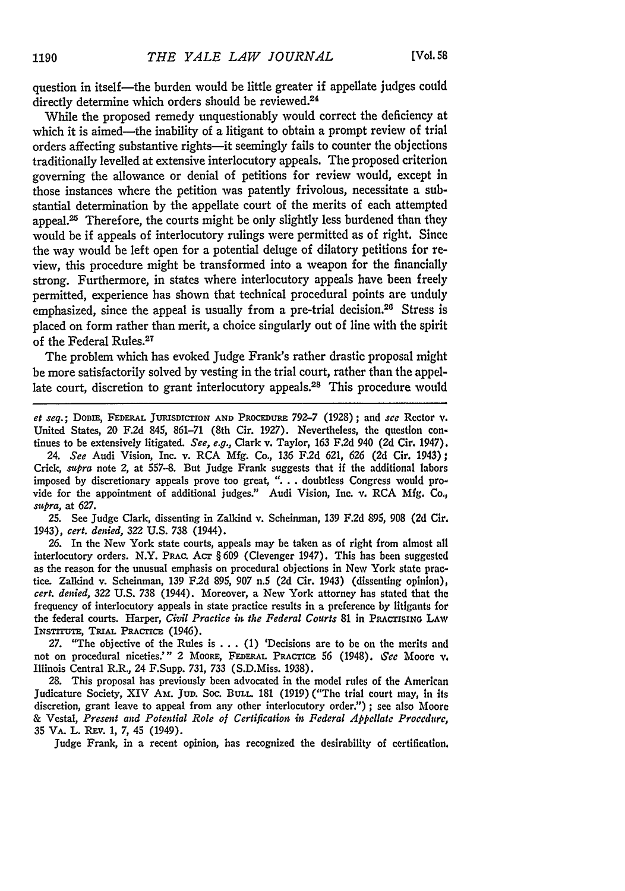question in itself—the burden would be little greater if appellate judges could directly determine which orders should be reviewed.<sup>24</sup>

While the proposed remedy unquestionably would correct the deficiency at which it is aimed—the inability of a litigant to obtain a prompt review of trial orders affecting substantive rights-it seemingly fails to counter the objections traditionally levelled at extensive interlocutory appeals. The proposed criterion governing the allowance or denial of petitions for review would, except in those instances where the petition was patently frivolous, necessitate a substantial determination by the appellate court of the merits of each attempted appeal.<sup>25</sup> Therefore, the courts might be only slightly less burdened than they would be if appeals of interlocutory rulings were permitted as of right. Since the way would be left open for a potential deluge of dilatory petitions for review, this procedure might be transformed into a weapon for the financially strong. Furthermore, in states where interlocutory appeals have been freely permitted, experience has shown that technical procedural points are unduly emphasized, since the appeal is usually from a pre-trial decision.<sup>26</sup> Stress is placed on form rather than merit, a choice singularly out of line with the spirit of the Federal Rules.27

The problem which has evoked Judge Frank's rather drastic proposal might be more satisfactorily solved by vesting in the trial court, rather than the appellate court, discretion to grant interlocutory appeals.<sup>28</sup> This procedure would

*et seq.;* **DoBIE, FEDERAL JUEISDICTIoN AND PROCEDURE** *792-7* (1928) ; and *see* Rector **v.** United States, 20 **F.2d** 845, 861-71 (8th Cir. 1927). Nevertheless, the question continues to be extensively litigated. See, *e.g.,* Clark v. Taylor, **163 F.2d** 940 **(2d** Cir. 1947).

24. See Audi Vision, Inc. v. RCA Mfg. Co., 136 F2d 621, **626** (2d Cir. 1943); Crick, *supra* note 2, at 557-8. But Judge Frank suggests that if the additional labors imposed **by** discretionary appeals prove too great, **". . .** doubtless Congress would provide for the appointment of additional judges." Audi Vision, Inc. v. RCA Mfg. Co., supra, at **627.**

**25.** See Judge Clark, dissenting in Zalkind v. Scheinman, 139 F.2d 895, 908 **(2d** Cir. 1943), cert. *denied,* 322 **U.S.** 738 (1944).

**26.** In the New York state courts, appeals may be taken as of right from almost all interlocutory orders. N.Y. PRAc. Acr § **609** (Clevenger 1947). This has been suggested as the reason for the unusual emphasis on procedural objections in New York state practice. Zalkind v. Scheinman, **139** F2d **895,** 907 n.5 **(2d** Cir. 1943) (dissenting opinion), *cert. denied,* **322 U.S.** 738 (1944). Moreover, a New York attorney has stated that the frequency of interlocutory appeals in state practice results in a preference by litigants for the federal courts. Harper, Civil Practice in the Federal Courts 81 in **PRACTISING** LAw **INSTrrUTE, TRiAL** PRAcricE (1946).

27. "The objective **of** the Rules is ... (1) 'Decisions are to be on the merits and not on procedural niceties."' 2 MOORE, FEDERAL **PRAcTicE 56** (1948). See Moore v. Illinois Central R.R., 24 F.Supp. *731,* 733 (S.D.Miss. 1938).

**28.** This proposal has previously been advocated in the model rules of the American Judicature Society, XIV Am. **JuD.** Soc. BuLL. **181** (1919) ("The trial court may, in its discretion, grant leave to appeal from any other interlocutory order.") **;** see also Moore & Vestal, Present and Potential Role of Certification in Federal Appellate Procedure, **35** VA. L. REV. 1, 7, 45 (1949).

Judge Frank, in a recent opinion, has recognized the desirability of certification,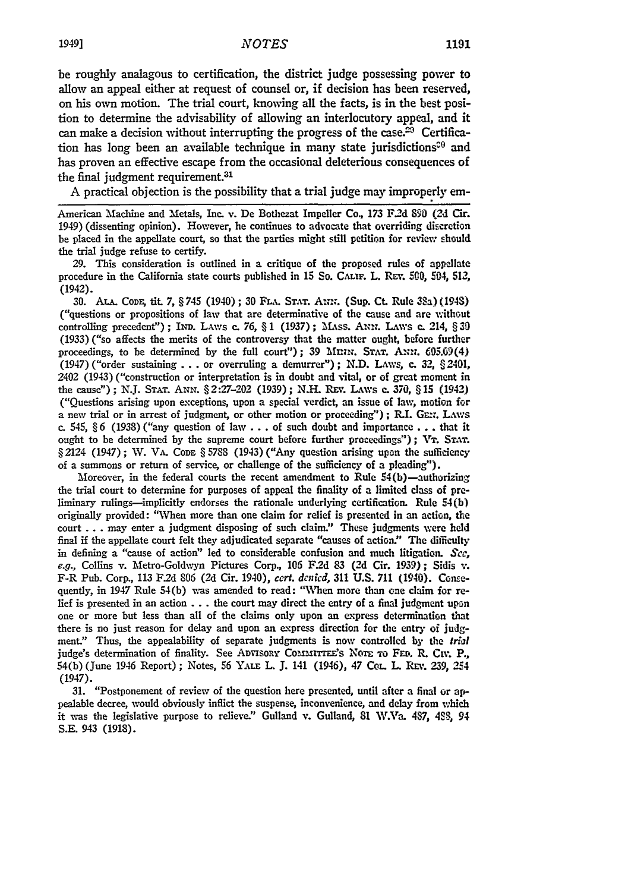be roughly analagous to certification, the district judge possessing power to allow an appeal either at request of counsel or, if decision has been reserved, on his own motion. The trial court, knowing all the facts, is in the best position to determine the advisability of allowing an interlocutory appeal, and it can make a decision without interrupting the progress of the case.<sup>29</sup> Certification has long been an available technique in many state jurisdictions<sup> $20$ </sup> and has proven an effective escape from the occasional deleterious consequences of the final judgment requirement.<sup>31</sup>

A practical objection is the possibility that a trial judge may improperly em-

American Machine and 'etals, Inc. v. De Bothezat Impeller **Co., 173** F2d **S90** (2d Cir. 1949) (dissenting opinion). However, he continues to advocate that overriding discretion be placed in the appellate court, so that the parties might still petition for review should the trial judge refuse to certify.

**29.** This consideration is outlined in a critique of the proposed rules of appellate procedure in the California state courts published in 15 So. CALIF. L. REV. 500, 504, 512, (1942).

30. ALA. CODE, tit. 7, § 745 (1940) ; 30 FLA. STAT. ANN. (Sup. Ct. Rule 38a) (1948) ("questions or propositions of law that are determinative of the cause and are without controlling precedent") ; IxD. LAws c. **76,** § 1 (1937) ; MAss. **A-,xz.** LAws **c.** 214, § **30** (1933) ("so affects the merits of the controversy that the matter ought, before further proceedings, to be determined by the full court"); 39 Mnn. STAT. ANN.  $605.09(4)$ (1947) ("order sustaining **. . .** or overruling a demurrer"); N.D. LAws, **c.** *32,* §2401, 2402 (1943) ("construction or interpretation is in doubt and vital, or of great moment in the cause"); N.J. **STAT. ANN.** § 2:27-202 (1939); N.L Ruv. LAws c. **370,** § 15 (1942) ("Questions arising upon exceptions, upon a special verdict, an issue of law, motion for a new trial or in arrest of judgment, or other motion or proceeding"); R.I. GEN. LAWS c. 545, § 6 (1938) ("any question of law.. **.** of such doubt and importance... that it ought to be determined by the supreme court before further proceedings"); VT. STAT. § 2124 (1947); W. VA. Code § 5788 (1943) ("Any question arising upon the sufficiency of a summons or return of service, or challenge of the sufficiency of a pleading").

Moreover, in the federal courts the recent amendment to Rule  $54(b)$ —authorizing the trial court to determine for purposes of appeal the finality of a limited class of preliminary rulings--implicitly endorses the rationale underlying certification. Rule 54(b) originally provided: "Vhen more than one claim for relief is presented in an action, the court **...** may enter a judgment disposing of such claim" These judgments were held final if the appellate court felt they adjudicated separate "causes of action." The difficulty in defining a "cause of action" led to considerable confusion and much litigation. **Sce, e.g.,** Collins v. Metro-Goldwyn Pictures Corp., **105 F2d** 83 **(2d** Cir. **1939);** Sidis **v.** F-R Pub. Corp., **113** F2d 806 **(2d** Cir. 1940), *cert. denied,* **311 U.S. 711** (1940). **Conse**quently, in 1947 Rule 54(b) **was** amended to read: "When more than one claim for relief is presented in an action  $\dots$ , the court may direct the entry of a final judgment upon one or more but less than all of the claims only upon an express determination that there is no just reason for delay and upon an express direction for the entry of judgment." Thus, the appealability of separate judgments is now controlled **by** the trial judge's determination of finality. See ADVISORY COMMITTEE'S NOTE TO FED. R. CIV. P., 54(b) (June 1946 Report) **;** Notes, **56** Y.uLE L. **J.** 141 (1946), 47 **COL.** L. Rmr. **239,** 254 (1947).

**31.** "Postponement of review of the question here presented, until after a final or appealable decree, would obviously inflict the suspense, inconvenience, and delay from which it was the legislative purpose to relieve." Gulland v. Gulland, 81 W.Va. 487, 488, 94 **S.E.** 943 **(1918).**